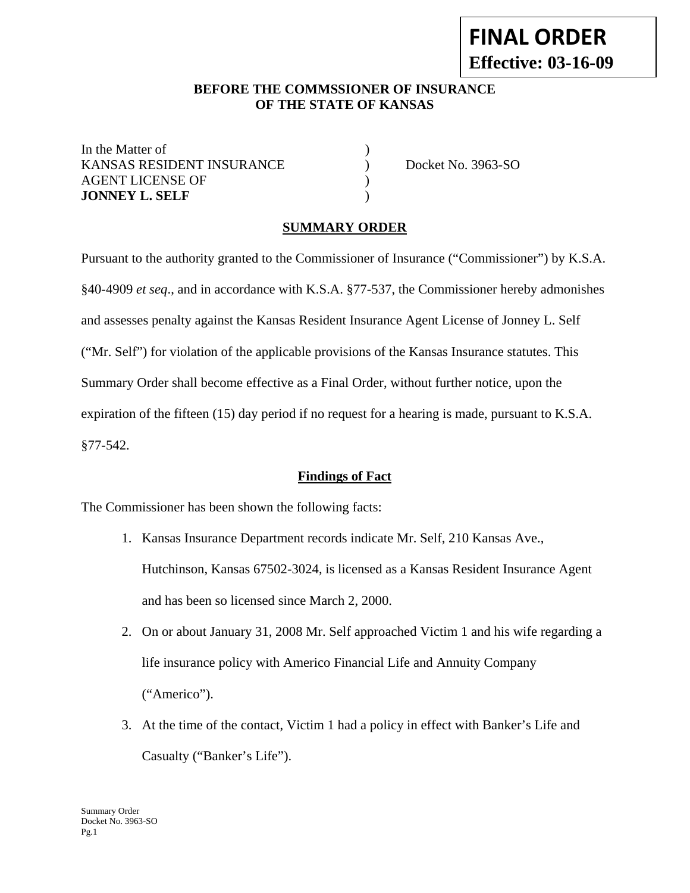### **BEFORE THE COMMSSIONER OF INSURANCE OF THE STATE OF KANSAS**

In the Matter of  $\qquad \qquad$  ) KANSAS RESIDENT INSURANCE (a) Docket No. 3963-SO AGENT LICENSE OF  $\qquad \qquad$  ) **JONNEY L. SELF** )

## **SUMMARY ORDER**

Pursuant to the authority granted to the Commissioner of Insurance ("Commissioner") by K.S.A. §40-4909 *et seq*., and in accordance with K.S.A. §77-537, the Commissioner hereby admonishes and assesses penalty against the Kansas Resident Insurance Agent License of Jonney L. Self ("Mr. Self") for violation of the applicable provisions of the Kansas Insurance statutes. This Summary Order shall become effective as a Final Order, without further notice, upon the expiration of the fifteen (15) day period if no request for a hearing is made, pursuant to K.S.A. §77-542.

#### **Findings of Fact**

The Commissioner has been shown the following facts:

- 1. Kansas Insurance Department records indicate Mr. Self, 210 Kansas Ave., Hutchinson, Kansas 67502-3024, is licensed as a Kansas Resident Insurance Agent and has been so licensed since March 2, 2000.
- 2. On or about January 31, 2008 Mr. Self approached Victim 1 and his wife regarding a life insurance policy with Americo Financial Life and Annuity Company ("Americo").
- 3. At the time of the contact, Victim 1 had a policy in effect with Banker's Life and Casualty ("Banker's Life").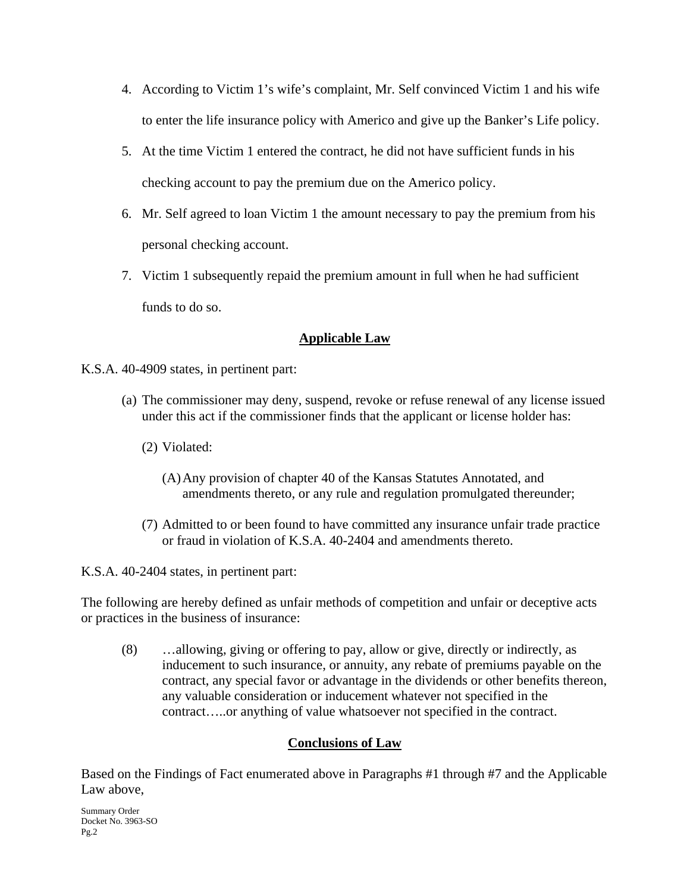- 4. According to Victim 1's wife's complaint, Mr. Self convinced Victim 1 and his wife to enter the life insurance policy with Americo and give up the Banker's Life policy.
- 5. At the time Victim 1 entered the contract, he did not have sufficient funds in his checking account to pay the premium due on the Americo policy.
- 6. Mr. Self agreed to loan Victim 1 the amount necessary to pay the premium from his personal checking account.
- 7. Victim 1 subsequently repaid the premium amount in full when he had sufficient funds to do so.

## **Applicable Law**

- K.S.A. 40-4909 states, in pertinent part:
	- (a) The commissioner may deny, suspend, revoke or refuse renewal of any license issued under this act if the commissioner finds that the applicant or license holder has:
		- (2) Violated:
			- (A)Any provision of chapter 40 of the Kansas Statutes Annotated, and amendments thereto, or any rule and regulation promulgated thereunder;
		- (7) Admitted to or been found to have committed any insurance unfair trade practice or fraud in violation of K.S.A. 40-2404 and amendments thereto.

K.S.A. 40-2404 states, in pertinent part:

The following are hereby defined as unfair methods of competition and unfair or deceptive acts or practices in the business of insurance:

(8) …allowing, giving or offering to pay, allow or give, directly or indirectly, as inducement to such insurance, or annuity, any rebate of premiums payable on the contract, any special favor or advantage in the dividends or other benefits thereon, any valuable consideration or inducement whatever not specified in the contract…..or anything of value whatsoever not specified in the contract.

# **Conclusions of Law**

Based on the Findings of Fact enumerated above in Paragraphs #1 through #7 and the Applicable Law above,

Summary Order Docket No. 3963-SO Pg.2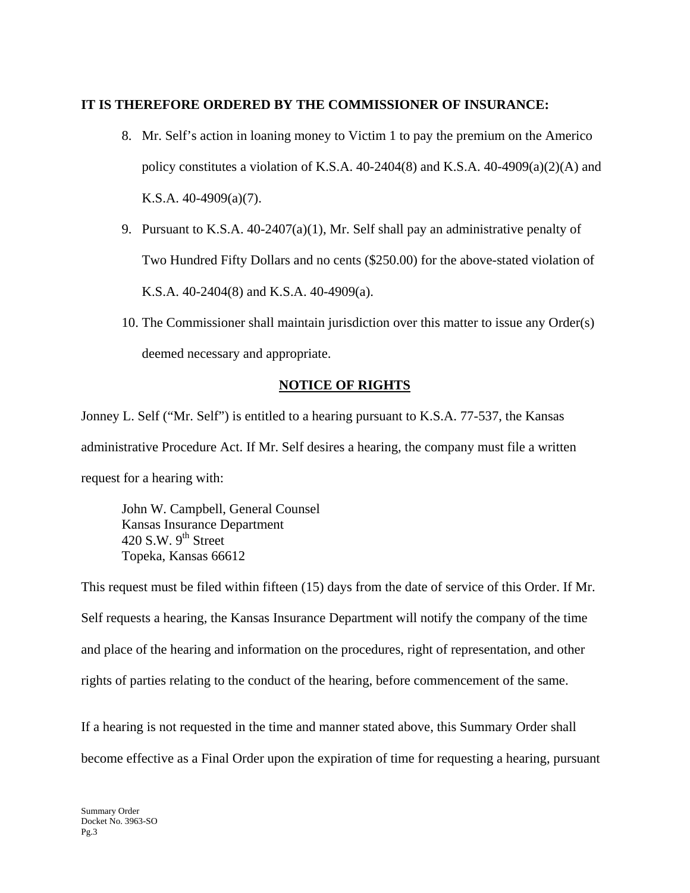#### **IT IS THEREFORE ORDERED BY THE COMMISSIONER OF INSURANCE:**

- 8. Mr. Self's action in loaning money to Victim 1 to pay the premium on the Americo policy constitutes a violation of K.S.A. 40-2404(8) and K.S.A. 40-4909(a)(2)(A) and K.S.A. 40-4909(a)(7).
- 9. Pursuant to K.S.A. 40-2407(a)(1), Mr. Self shall pay an administrative penalty of Two Hundred Fifty Dollars and no cents (\$250.00) for the above-stated violation of K.S.A. 40-2404(8) and K.S.A. 40-4909(a).
- 10. The Commissioner shall maintain jurisdiction over this matter to issue any Order(s) deemed necessary and appropriate.

# **NOTICE OF RIGHTS**

Jonney L. Self ("Mr. Self") is entitled to a hearing pursuant to K.S.A. 77-537, the Kansas administrative Procedure Act. If Mr. Self desires a hearing, the company must file a written request for a hearing with:

 John W. Campbell, General Counsel Kansas Insurance Department 420 S.W.  $9<sup>th</sup>$  Street Topeka, Kansas 66612

This request must be filed within fifteen (15) days from the date of service of this Order. If Mr. Self requests a hearing, the Kansas Insurance Department will notify the company of the time and place of the hearing and information on the procedures, right of representation, and other rights of parties relating to the conduct of the hearing, before commencement of the same.

If a hearing is not requested in the time and manner stated above, this Summary Order shall become effective as a Final Order upon the expiration of time for requesting a hearing, pursuant